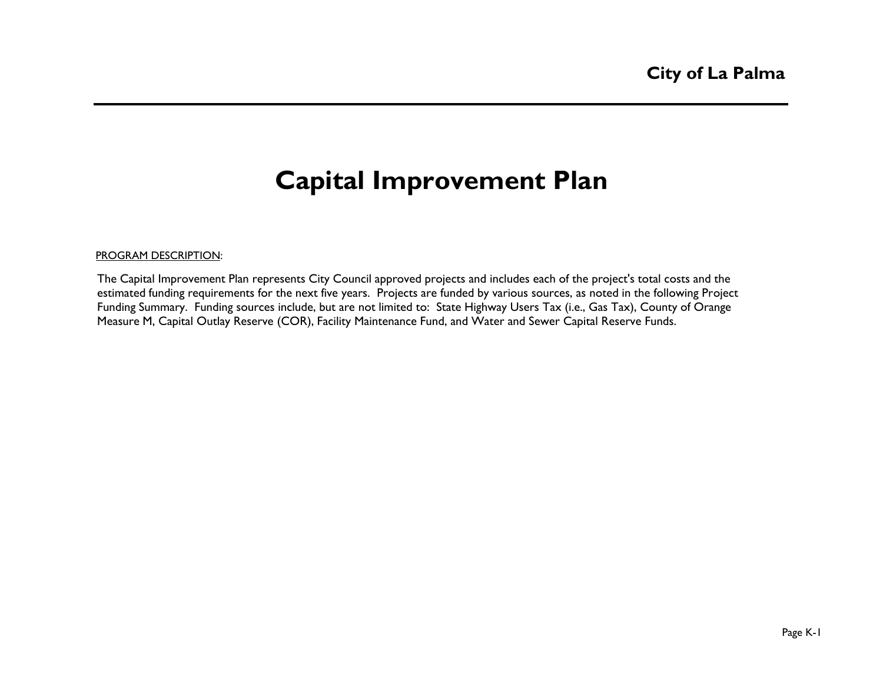# **Capital Improvement Plan**

#### PROGRAM DESCRIPTION:

The Capital Improvement Plan represents City Council approved projects and includes each of the project's total costs and the estimated funding requirements for the next five years. Projects are funded by various sources, as noted in the following Project Funding Summary. Funding sources include, but are not limited to: State Highway Users Tax (i.e., Gas Tax), County of Orange Measure M, Capital Outlay Reserve (COR), Facility Maintenance Fund, and Water and Sewer Capital Reserve Funds.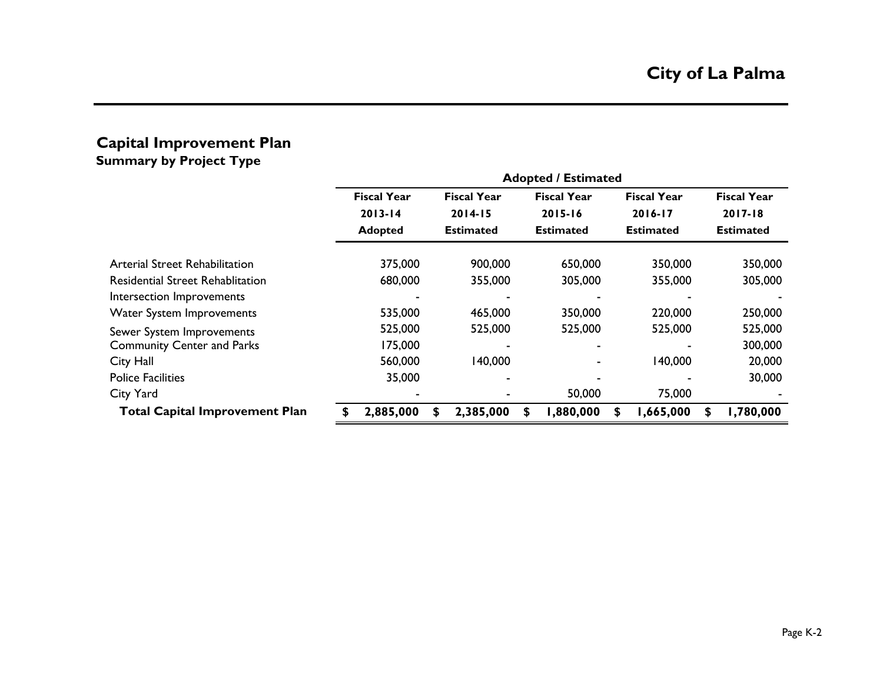#### **Capital Improvement Plan Summary by Project Type**

|                                         | <b>Adopted / Estimated</b> |                    |  |                    |   |                    |    |                    |   |                    |  |  |
|-----------------------------------------|----------------------------|--------------------|--|--------------------|---|--------------------|----|--------------------|---|--------------------|--|--|
|                                         |                            | <b>Fiscal Year</b> |  | <b>Fiscal Year</b> |   | <b>Fiscal Year</b> |    | <b>Fiscal Year</b> |   | <b>Fiscal Year</b> |  |  |
|                                         |                            | $2013 - 14$        |  | $2014 - 15$        |   | $2015 - 16$        |    | 2016-17            |   | $2017 - 18$        |  |  |
|                                         |                            | <b>Adopted</b>     |  | <b>Estimated</b>   |   | <b>Estimated</b>   |    | <b>Estimated</b>   |   | <b>Estimated</b>   |  |  |
| Arterial Street Rehabilitation          |                            | 375,000            |  | 900,000            |   | 650,000            |    | 350,000            |   | 350,000            |  |  |
| <b>Residential Street Rehablitation</b> |                            | 680,000            |  | 355,000            |   | 305,000            |    | 355,000            |   | 305,000            |  |  |
| Intersection Improvements               |                            |                    |  |                    |   |                    |    |                    |   |                    |  |  |
| Water System Improvements               |                            | 535,000            |  | 465,000            |   | 350,000            |    | 220,000            |   | 250,000            |  |  |
| Sewer System Improvements               |                            | 525,000            |  | 525,000            |   | 525,000            |    | 525,000            |   | 525,000            |  |  |
| <b>Community Center and Parks</b>       |                            | 175,000            |  |                    |   |                    |    |                    |   | 300,000            |  |  |
| City Hall                               |                            | 560,000            |  | 140,000            |   |                    |    | 140,000            |   | 20,000             |  |  |
| <b>Police Facilities</b>                |                            | 35,000             |  |                    |   |                    |    |                    |   | 30,000             |  |  |
| City Yard                               |                            |                    |  |                    |   | 50,000             |    | 75,000             |   |                    |  |  |
| <b>Total Capital Improvement Plan</b>   |                            | 2,885,000          |  | 2,385,000          | S | 1,880,000          | S. | 1,665,000          | S | 1,780,000          |  |  |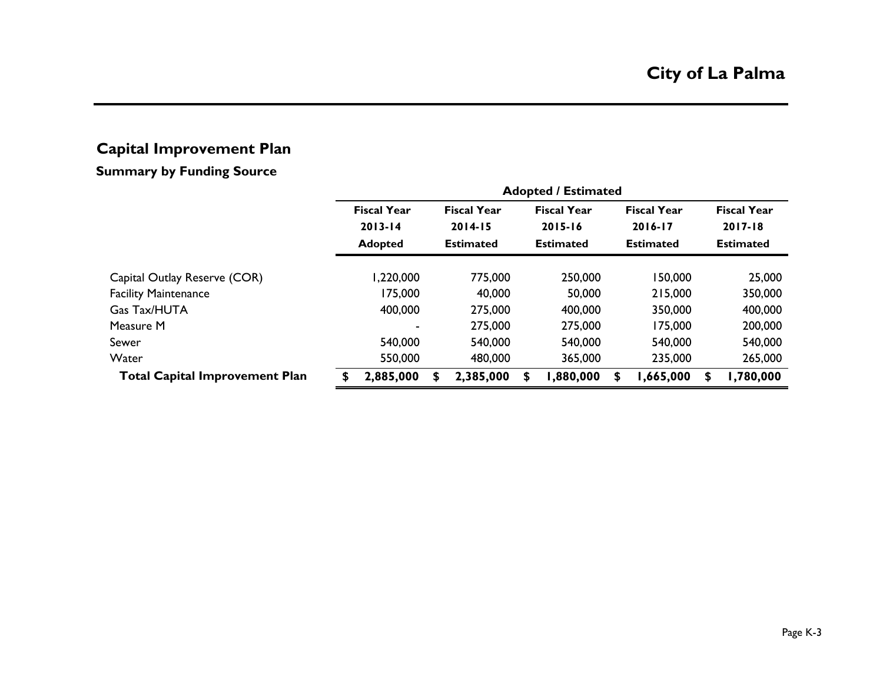### **Capital Improvement Plan**

### **Summary by Funding Source**

|                                       | <b>Adopted / Estimated</b> |                    |    |                    |    |                    |   |                    |    |                    |  |  |  |  |
|---------------------------------------|----------------------------|--------------------|----|--------------------|----|--------------------|---|--------------------|----|--------------------|--|--|--|--|
|                                       |                            | <b>Fiscal Year</b> |    | <b>Fiscal Year</b> |    | <b>Fiscal Year</b> |   | <b>Fiscal Year</b> |    | <b>Fiscal Year</b> |  |  |  |  |
|                                       |                            | $2013 - 14$        |    | $2014 - 15$        |    | $2015 - 16$        |   | $2016 - 17$        |    | $2017 - 18$        |  |  |  |  |
|                                       |                            | <b>Adopted</b>     |    | <b>Estimated</b>   |    | <b>Estimated</b>   |   | <b>Estimated</b>   |    | <b>Estimated</b>   |  |  |  |  |
| Capital Outlay Reserve (COR)          |                            | 1,220,000          |    | 775,000            |    | 250,000            |   | 150,000            |    | 25,000             |  |  |  |  |
|                                       |                            | 175,000            |    | 40,000             |    | 50,000             |   | 215,000            |    | 350,000            |  |  |  |  |
| <b>Facility Maintenance</b>           |                            |                    |    |                    |    |                    |   |                    |    |                    |  |  |  |  |
| Gas Tax/HUTA                          |                            | 400,000            |    | 275,000            |    | 400,000            |   | 350,000            |    | 400,000            |  |  |  |  |
| Measure M                             |                            |                    |    | 275,000            |    | 275,000            |   | 175,000            |    | 200,000            |  |  |  |  |
| Sewer                                 |                            | 540,000            |    | 540,000            |    | 540,000            |   | 540,000            |    | 540,000            |  |  |  |  |
| Water                                 |                            | 550,000            |    | 480,000            |    | 365,000            |   | 235,000            |    | 265,000            |  |  |  |  |
| <b>Total Capital Improvement Plan</b> | Я                          | 2,885,000          | \$ | 2,385,000          | S. | 1,880,000          | S | ,665,000           | \$ | ,780,000           |  |  |  |  |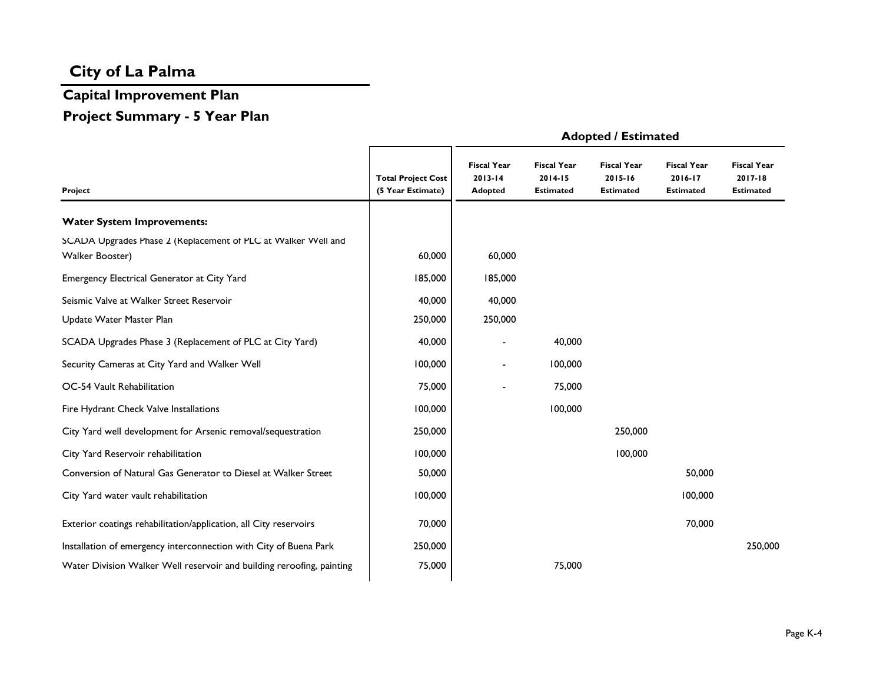# **Capital Improvement Plan**

## **Project Summary - 5 Year Plan**

|                                                                                  |                                                |                                              |                                                   | , wopcou, socialized                              |                                                   |                                                   |
|----------------------------------------------------------------------------------|------------------------------------------------|----------------------------------------------|---------------------------------------------------|---------------------------------------------------|---------------------------------------------------|---------------------------------------------------|
| Project                                                                          | <b>Total Project Cost</b><br>(5 Year Estimate) | <b>Fiscal Year</b><br>$2013 - 14$<br>Adopted | <b>Fiscal Year</b><br>2014-15<br><b>Estimated</b> | <b>Fiscal Year</b><br>2015-16<br><b>Estimated</b> | <b>Fiscal Year</b><br>2016-17<br><b>Estimated</b> | <b>Fiscal Year</b><br>2017-18<br><b>Estimated</b> |
| <b>Water System Improvements:</b>                                                |                                                |                                              |                                                   |                                                   |                                                   |                                                   |
| SCADA Upgrades Phase 2 (Replacement of PLC at Walker Well and<br>Walker Booster) | 60,000                                         | 60,000                                       |                                                   |                                                   |                                                   |                                                   |
| Emergency Electrical Generator at City Yard                                      | 185,000                                        | 185,000                                      |                                                   |                                                   |                                                   |                                                   |
| Seismic Valve at Walker Street Reservoir                                         | 40,000                                         | 40,000                                       |                                                   |                                                   |                                                   |                                                   |
| Update Water Master Plan                                                         | 250,000                                        | 250,000                                      |                                                   |                                                   |                                                   |                                                   |
| SCADA Upgrades Phase 3 (Replacement of PLC at City Yard)                         | 40,000                                         |                                              | 40,000                                            |                                                   |                                                   |                                                   |
| Security Cameras at City Yard and Walker Well                                    | 100,000                                        |                                              | 100,000                                           |                                                   |                                                   |                                                   |
| OC-54 Vault Rehabilitation                                                       | 75,000                                         |                                              | 75,000                                            |                                                   |                                                   |                                                   |
| Fire Hydrant Check Valve Installations                                           | 100,000                                        |                                              | 100,000                                           |                                                   |                                                   |                                                   |
| City Yard well development for Arsenic removal/sequestration                     | 250,000                                        |                                              |                                                   | 250,000                                           |                                                   |                                                   |
| City Yard Reservoir rehabilitation                                               | 100,000                                        |                                              |                                                   | 100,000                                           |                                                   |                                                   |
| Conversion of Natural Gas Generator to Diesel at Walker Street                   | 50,000                                         |                                              |                                                   |                                                   | 50,000                                            |                                                   |
| City Yard water vault rehabilitation                                             | 100,000                                        |                                              |                                                   |                                                   | 100,000                                           |                                                   |
| Exterior coatings rehabilitation/application, all City reservoirs                | 70,000                                         |                                              |                                                   |                                                   | 70,000                                            |                                                   |
| Installation of emergency interconnection with City of Buena Park                | 250,000                                        |                                              |                                                   |                                                   |                                                   | 250,000                                           |
| Water Division Walker Well reservoir and building reroofing, painting            | 75,000                                         |                                              | 75,000                                            |                                                   |                                                   |                                                   |

#### **Adopted / Estimated**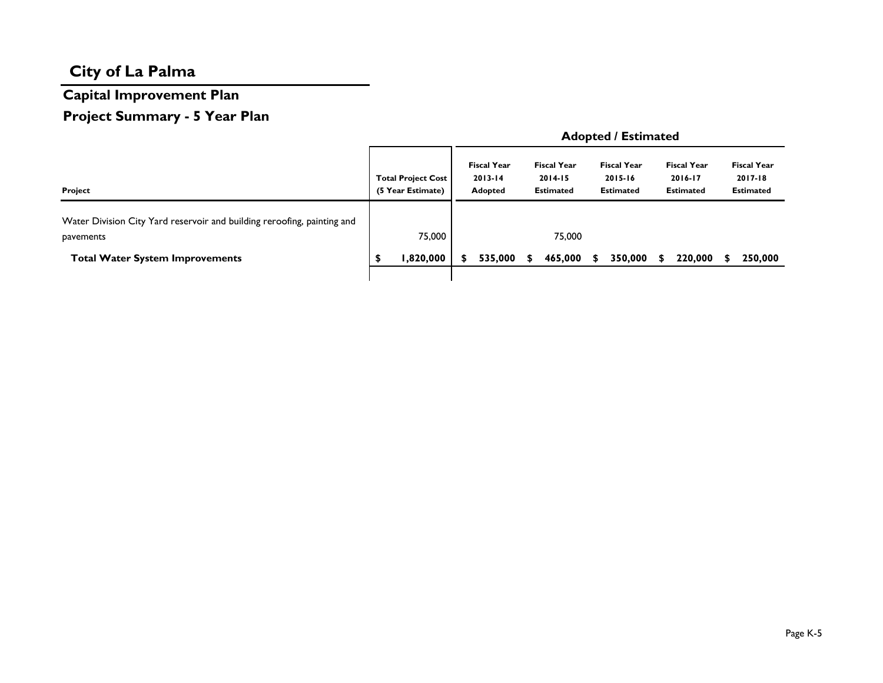# **Capital Improvement Plan**

# **Project Summary - 5 Year Plan**

|                                                                                      |                                                | <b>Adopted / Estimated</b> |                                                     |  |                                                       |    |                                                   |  |                                                   |  |                                                       |
|--------------------------------------------------------------------------------------|------------------------------------------------|----------------------------|-----------------------------------------------------|--|-------------------------------------------------------|----|---------------------------------------------------|--|---------------------------------------------------|--|-------------------------------------------------------|
| Project                                                                              | <b>Total Project Cost</b><br>(5 Year Estimate) |                            | <b>Fiscal Year</b><br>$2013 - 14$<br><b>Adopted</b> |  | <b>Fiscal Year</b><br>$2014 - 15$<br><b>Estimated</b> |    | <b>Fiscal Year</b><br>2015-16<br><b>Estimated</b> |  | <b>Fiscal Year</b><br>2016-17<br><b>Estimated</b> |  | <b>Fiscal Year</b><br>$2017 - 18$<br><b>Estimated</b> |
| Water Division City Yard reservoir and building reroofing, painting and<br>pavements | 75,000                                         |                            |                                                     |  | 75,000                                                |    |                                                   |  |                                                   |  |                                                       |
| <b>Total Water System Improvements</b>                                               | 1,820,000                                      |                            | 535,000                                             |  | 465,000                                               | S. | 350,000                                           |  | 220,000                                           |  | 250,000                                               |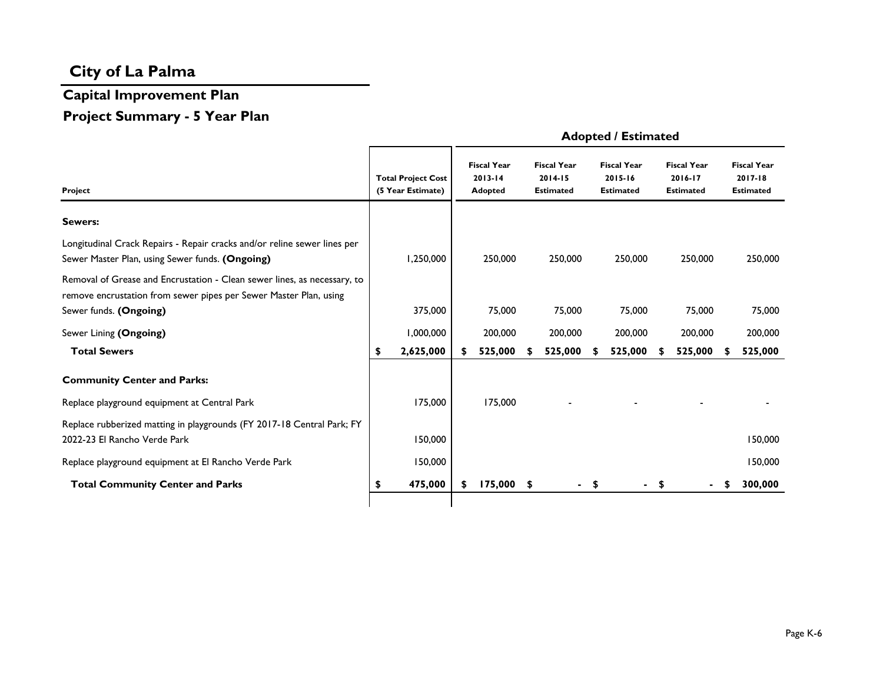# **Capital Improvement Plan**

### **Project Summary - 5 Year Plan**

|                                                                                                                                               |                                                | <b>Adopted / Estimated</b> |                                                     |  |                                                       |      |                                                   |        |                                                   |    |                                                       |
|-----------------------------------------------------------------------------------------------------------------------------------------------|------------------------------------------------|----------------------------|-----------------------------------------------------|--|-------------------------------------------------------|------|---------------------------------------------------|--------|---------------------------------------------------|----|-------------------------------------------------------|
| Project                                                                                                                                       | <b>Total Project Cost</b><br>(5 Year Estimate) |                            | <b>Fiscal Year</b><br>$2013 - 14$<br><b>Adopted</b> |  | <b>Fiscal Year</b><br>$2014 - 15$<br><b>Estimated</b> |      | <b>Fiscal Year</b><br>2015-16<br><b>Estimated</b> |        | <b>Fiscal Year</b><br>2016-17<br><b>Estimated</b> |    | <b>Fiscal Year</b><br>$2017 - 18$<br><b>Estimated</b> |
| Sewers:                                                                                                                                       |                                                |                            |                                                     |  |                                                       |      |                                                   |        |                                                   |    |                                                       |
| Longitudinal Crack Repairs - Repair cracks and/or reline sewer lines per<br>Sewer Master Plan, using Sewer funds. (Ongoing)                   | 1,250,000                                      |                            | 250,000                                             |  | 250,000                                               |      | 250,000                                           |        | 250,000                                           |    | 250,000                                               |
| Removal of Grease and Encrustation - Clean sewer lines, as necessary, to<br>remove encrustation from sewer pipes per Sewer Master Plan, using | 375,000                                        |                            | 75,000                                              |  | 75,000                                                |      | 75,000                                            |        | 75,000                                            |    | 75,000                                                |
| Sewer funds. (Ongoing)                                                                                                                        |                                                |                            |                                                     |  |                                                       |      |                                                   |        |                                                   |    |                                                       |
| Sewer Lining (Ongoing)                                                                                                                        | 1,000,000                                      |                            | 200,000                                             |  | 200,000                                               |      | 200,000                                           |        | 200,000                                           |    | 200,000                                               |
| <b>Total Sewers</b>                                                                                                                           | \$<br>2,625,000                                |                            | 525,000                                             |  | 525,000                                               | S    | 525,000                                           |        | 525,000                                           |    | 525,000                                               |
| <b>Community Center and Parks:</b>                                                                                                            |                                                |                            |                                                     |  |                                                       |      |                                                   |        |                                                   |    |                                                       |
| Replace playground equipment at Central Park                                                                                                  | 175,000                                        |                            | 175,000                                             |  |                                                       |      |                                                   |        |                                                   |    |                                                       |
| Replace rubberized matting in playgrounds (FY 2017-18 Central Park; FY<br>2022-23 El Rancho Verde Park                                        | 150,000                                        |                            |                                                     |  |                                                       |      |                                                   |        |                                                   |    | 150,000                                               |
| Replace playground equipment at El Rancho Verde Park                                                                                          | 150,000                                        |                            |                                                     |  |                                                       |      |                                                   |        |                                                   |    | 150,000                                               |
| <b>Total Community Center and Parks</b>                                                                                                       | \$<br>475,000                                  | \$                         | $175,000$ \$                                        |  |                                                       | $-5$ |                                                   | $-$ \$ | $\blacksquare$                                    | -S | 300,000                                               |
|                                                                                                                                               |                                                |                            |                                                     |  |                                                       |      |                                                   |        |                                                   |    |                                                       |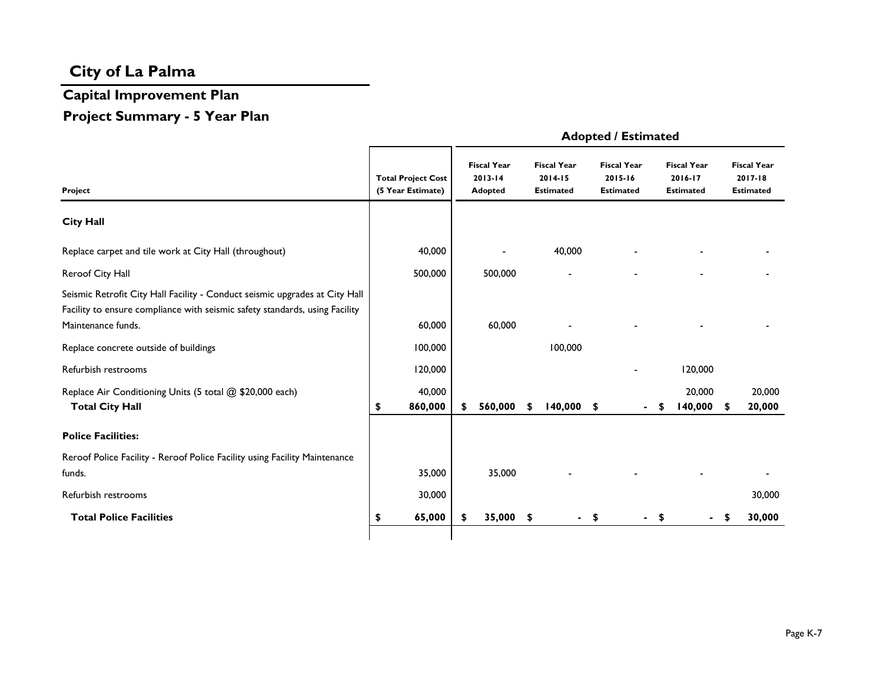# **Capital Improvement Plan**

### **Project Summary - 5 Year Plan**

|                                                                                                                                                                                  |                                                |                                                     |    |                                                       |            | Aupreus Escurateu                                 |                |                                                   |   |                                                   |
|----------------------------------------------------------------------------------------------------------------------------------------------------------------------------------|------------------------------------------------|-----------------------------------------------------|----|-------------------------------------------------------|------------|---------------------------------------------------|----------------|---------------------------------------------------|---|---------------------------------------------------|
| Project                                                                                                                                                                          | <b>Total Project Cost</b><br>(5 Year Estimate) | <b>Fiscal Year</b><br>$2013 - 14$<br><b>Adopted</b> |    | <b>Fiscal Year</b><br>$2014 - 15$<br><b>Estimated</b> |            | <b>Fiscal Year</b><br>2015-16<br><b>Estimated</b> |                | <b>Fiscal Year</b><br>2016-17<br><b>Estimated</b> |   | <b>Fiscal Year</b><br>2017-18<br><b>Estimated</b> |
| <b>City Hall</b>                                                                                                                                                                 |                                                |                                                     |    |                                                       |            |                                                   |                |                                                   |   |                                                   |
| Replace carpet and tile work at City Hall (throughout)                                                                                                                           | 40,000                                         |                                                     |    | 40,000                                                |            |                                                   |                |                                                   |   |                                                   |
| Reroof City Hall                                                                                                                                                                 | 500,000                                        | 500,000                                             |    |                                                       |            |                                                   |                |                                                   |   |                                                   |
| Seismic Retrofit City Hall Facility - Conduct seismic upgrades at City Hall<br>Facility to ensure compliance with seismic safety standards, using Facility<br>Maintenance funds. | 60,000                                         | 60,000                                              |    |                                                       |            |                                                   |                |                                                   |   |                                                   |
| Replace concrete outside of buildings                                                                                                                                            | 100,000                                        |                                                     |    | 100,000                                               |            |                                                   |                |                                                   |   |                                                   |
| Refurbish restrooms                                                                                                                                                              | 120,000                                        |                                                     |    |                                                       |            |                                                   |                | 120,000                                           |   |                                                   |
| Replace Air Conditioning Units (5 total @ \$20,000 each)<br><b>Total City Hall</b>                                                                                               | \$<br>40,000<br>860,000                        | \$<br>560,000                                       | S  | $140,000$ \$                                          |            |                                                   | $\blacksquare$ | 20,000<br>140,000                                 | S | 20,000<br>20,000                                  |
| <b>Police Facilities:</b>                                                                                                                                                        |                                                |                                                     |    |                                                       |            |                                                   |                |                                                   |   |                                                   |
| Reroof Police Facility - Reroof Police Facility using Facility Maintenance<br>funds.                                                                                             | 35,000                                         | 35,000                                              |    |                                                       |            |                                                   |                |                                                   |   |                                                   |
| Refurbish restrooms                                                                                                                                                              | 30,000                                         |                                                     |    |                                                       |            |                                                   |                |                                                   |   | 30,000                                            |
| <b>Total Police Facilities</b>                                                                                                                                                   | 65,000                                         | \$<br>35,000                                        | \$ | $\blacksquare$                                        | $\sqrt{2}$ |                                                   | $\blacksquare$ | \$                                                | S | 30,000                                            |
|                                                                                                                                                                                  |                                                |                                                     |    |                                                       |            |                                                   |                |                                                   |   |                                                   |

#### **Adopted / Estimated**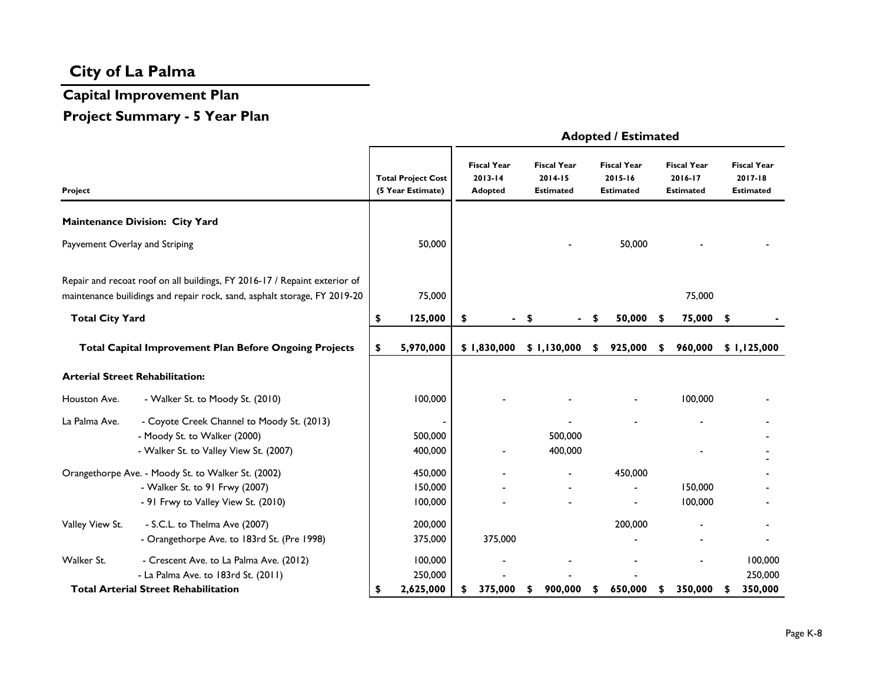# **Capital Improvement Plan Project Summary - 5 Year Plan**

|                                |                                                                                                                                                        |                                                | <b>Adopted / Estimated</b> |                                                     |                                                   |    |                                                   |    |                                            |      |                                                       |  |
|--------------------------------|--------------------------------------------------------------------------------------------------------------------------------------------------------|------------------------------------------------|----------------------------|-----------------------------------------------------|---------------------------------------------------|----|---------------------------------------------------|----|--------------------------------------------|------|-------------------------------------------------------|--|
| Project                        |                                                                                                                                                        | <b>Total Project Cost</b><br>(5 Year Estimate) |                            | <b>Fiscal Year</b><br>$2013 - 14$<br><b>Adopted</b> | <b>Fiscal Year</b><br>2014-15<br><b>Estimated</b> |    | <b>Fiscal Year</b><br>2015-16<br><b>Estimated</b> |    | <b>Fiscal Year</b><br>2016-17<br>Estimated |      | <b>Fiscal Year</b><br>$2017 - 18$<br><b>Estimated</b> |  |
|                                | Maintenance Division: City Yard                                                                                                                        |                                                |                            |                                                     |                                                   |    |                                                   |    |                                            |      |                                                       |  |
| Payvement Overlay and Striping |                                                                                                                                                        | 50,000                                         |                            |                                                     |                                                   |    | 50,000                                            |    |                                            |      |                                                       |  |
|                                | Repair and recoat roof on all buildings, FY 2016-17 / Repaint exterior of<br>maintenance builidings and repair rock, sand, asphalt storage, FY 2019-20 | 75,000                                         |                            |                                                     |                                                   |    |                                                   |    | 75,000                                     |      |                                                       |  |
| <b>Total City Yard</b>         |                                                                                                                                                        | \$<br>125,000                                  | \$                         |                                                     | S                                                 | \$ | 50,000                                            | \$ | 75,000                                     | - \$ |                                                       |  |
|                                | <b>Total Capital Improvement Plan Before Ongoing Projects</b>                                                                                          | \$<br>5,970,000                                |                            | \$1,830,000                                         | \$1,130,000                                       | S. | 925,000                                           | S  | 960,000                                    |      | \$1,125,000                                           |  |
|                                | <b>Arterial Street Rehabilitation:</b>                                                                                                                 |                                                |                            |                                                     |                                                   |    |                                                   |    |                                            |      |                                                       |  |
| Houston Ave.                   | - Walker St. to Moody St. (2010)                                                                                                                       | 100,000                                        |                            |                                                     |                                                   |    |                                                   |    | 100,000                                    |      |                                                       |  |
| La Palma Ave.                  | - Coyote Creek Channel to Moody St. (2013)<br>- Moody St. to Walker (2000)<br>- Walker St. to Valley View St. (2007)                                   | 500,000<br>400,000                             |                            |                                                     | 500,000<br>400,000                                |    |                                                   |    |                                            |      |                                                       |  |
|                                | Orangethorpe Ave. - Moody St. to Walker St. (2002)<br>- Walker St. to 91 Frwy (2007)<br>- 91 Frwy to Valley View St. (2010)                            | 450,000<br>150,000<br>100,000                  |                            |                                                     |                                                   |    | 450,000                                           |    | 150,000<br>100,000                         |      |                                                       |  |
| Valley View St.                | - S.C.L. to Thelma Ave (2007)<br>- Orangethorpe Ave. to 183rd St. (Pre 1998)                                                                           | 200,000<br>375,000                             |                            | 375,000                                             |                                                   |    | 200,000                                           |    |                                            |      |                                                       |  |
| Walker St.                     | - Crescent Ave. to La Palma Ave. (2012)<br>- La Palma Ave. to 183rd St. (2011)                                                                         | 100,000<br>250,000                             |                            |                                                     |                                                   |    |                                                   |    |                                            |      | 100,000<br>250,000                                    |  |
|                                | <b>Total Arterial Street Rehabilitation</b>                                                                                                            | \$<br>2,625,000                                |                            | 375,000                                             | 900,000<br>\$                                     | \$ | 650,000                                           | \$ | 350,000                                    |      | 350,000                                               |  |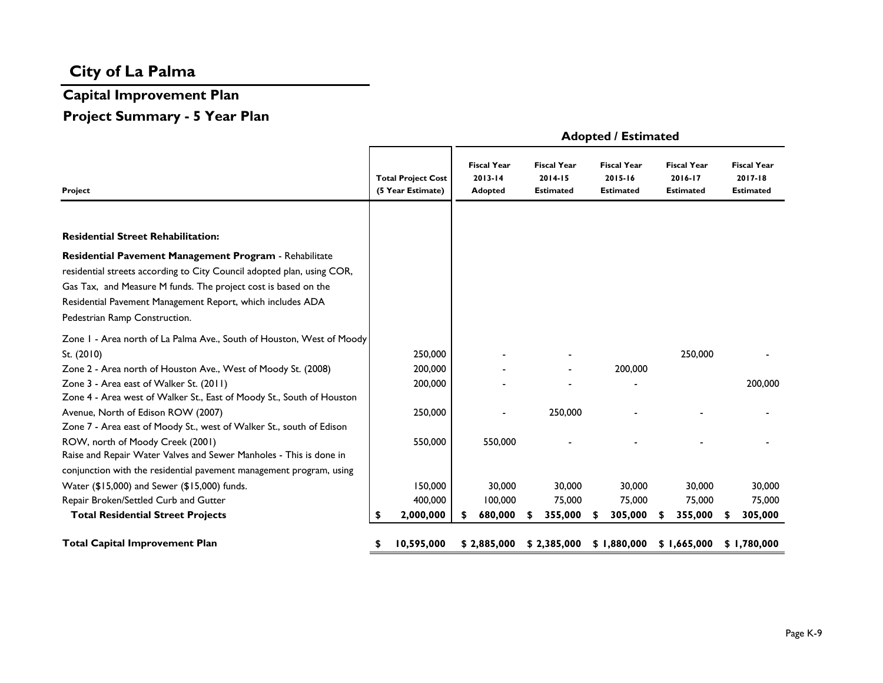# **Capital Improvement Plan**

# **Project Summary - 5 Year Plan**

|                                                                        | <b>Total Project Cost</b> | <b>Fiscal Year</b><br>$2013 - 14$ | <b>Fiscal Year</b><br>$2014 - 15$ |   | <b>Fiscal Year</b><br>2015-16 | <b>Fiscal Year</b><br>2016-17 | <b>Fiscal Year</b><br>2017-18 |
|------------------------------------------------------------------------|---------------------------|-----------------------------------|-----------------------------------|---|-------------------------------|-------------------------------|-------------------------------|
| Project                                                                | (5 Year Estimate)         | <b>Adopted</b>                    | Estimated                         |   | <b>Estimated</b>              | <b>Estimated</b>              | <b>Estimated</b>              |
|                                                                        |                           |                                   |                                   |   |                               |                               |                               |
| <b>Residential Street Rehabilitation:</b>                              |                           |                                   |                                   |   |                               |                               |                               |
| Residential Pavement Management Program - Rehabilitate                 |                           |                                   |                                   |   |                               |                               |                               |
| residential streets according to City Council adopted plan, using COR, |                           |                                   |                                   |   |                               |                               |                               |
| Gas Tax, and Measure M funds. The project cost is based on the         |                           |                                   |                                   |   |                               |                               |                               |
| Residential Pavement Management Report, which includes ADA             |                           |                                   |                                   |   |                               |                               |                               |
| Pedestrian Ramp Construction.                                          |                           |                                   |                                   |   |                               |                               |                               |
| Zone I - Area north of La Palma Ave., South of Houston, West of Moody  |                           |                                   |                                   |   |                               |                               |                               |
| St. (2010)                                                             | 250,000                   |                                   |                                   |   |                               | 250,000                       |                               |
| Zone 2 - Area north of Houston Ave., West of Moody St. (2008)          | 200,000                   |                                   |                                   |   | 200,000                       |                               |                               |
| Zone 3 - Area east of Walker St. (2011)                                | 200,000                   |                                   |                                   |   |                               |                               | 200,000                       |
| Zone 4 - Area west of Walker St., East of Moody St., South of Houston  |                           |                                   |                                   |   |                               |                               |                               |
| Avenue, North of Edison ROW (2007)                                     | 250,000                   |                                   | 250,000                           |   |                               |                               |                               |
| Zone 7 - Area east of Moody St., west of Walker St., south of Edison   |                           |                                   |                                   |   |                               |                               |                               |
| ROW, north of Moody Creek (2001)                                       | 550,000                   | 550,000                           |                                   |   |                               |                               |                               |
| Raise and Repair Water Valves and Sewer Manholes - This is done in     |                           |                                   |                                   |   |                               |                               |                               |
| conjunction with the residential pavement management program, using    |                           |                                   |                                   |   |                               |                               |                               |
| Water (\$15,000) and Sewer (\$15,000) funds.                           | 150,000                   | 30,000                            | 30,000                            |   | 30,000                        | 30,000                        | 30,000                        |
| Repair Broken/Settled Curb and Gutter                                  | 400,000                   | 100,000                           | 75,000                            |   | 75,000                        | 75,000                        | 75,000                        |
| <b>Total Residential Street Projects</b>                               | \$<br>2,000,000           | 680,000                           | 355,000                           | S | 305,000                       | 355,000                       | 305,000                       |
| <b>Total Capital Improvement Plan</b>                                  | 10,595,000                | \$2,885,000                       | \$2,385,000                       |   | \$1,880,000                   | \$1,665,000                   | \$1,780,000                   |

#### **Adopted / Estimated**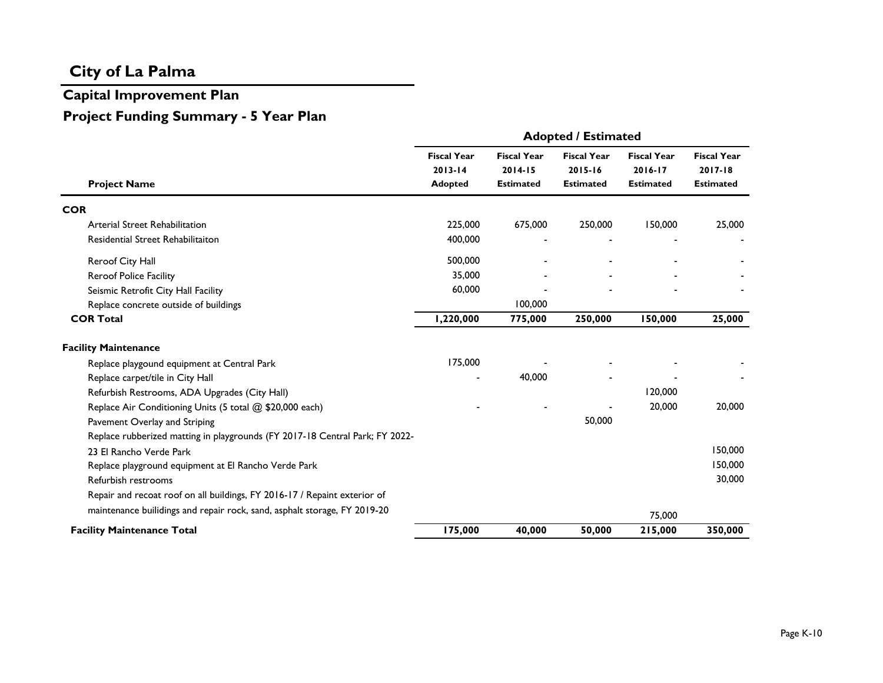# **Capital Improvement Plan Project Funding Summary - 5 Year Plan**

|                                                                              | <b>Adopted / Estimated</b>                          |                                                       |                                                       |                                                   |                                                       |  |  |  |  |  |  |  |
|------------------------------------------------------------------------------|-----------------------------------------------------|-------------------------------------------------------|-------------------------------------------------------|---------------------------------------------------|-------------------------------------------------------|--|--|--|--|--|--|--|
| <b>Project Name</b>                                                          | <b>Fiscal Year</b><br>$2013 - 14$<br><b>Adopted</b> | <b>Fiscal Year</b><br>$2014 - 15$<br><b>Estimated</b> | <b>Fiscal Year</b><br>$2015 - 16$<br><b>Estimated</b> | <b>Fiscal Year</b><br>2016-17<br><b>Estimated</b> | <b>Fiscal Year</b><br>$2017 - 18$<br><b>Estimated</b> |  |  |  |  |  |  |  |
| <b>COR</b>                                                                   |                                                     |                                                       |                                                       |                                                   |                                                       |  |  |  |  |  |  |  |
| Arterial Street Rehabilitation                                               | 225,000                                             | 675,000                                               | 250,000                                               | 150,000                                           | 25,000                                                |  |  |  |  |  |  |  |
| Residential Street Rehabilitaiton                                            | 400,000                                             |                                                       |                                                       |                                                   |                                                       |  |  |  |  |  |  |  |
| Reroof City Hall                                                             | 500,000                                             |                                                       |                                                       |                                                   |                                                       |  |  |  |  |  |  |  |
| Reroof Police Facility                                                       | 35,000                                              |                                                       |                                                       |                                                   |                                                       |  |  |  |  |  |  |  |
| Seismic Retrofit City Hall Facility                                          | 60,000                                              |                                                       |                                                       |                                                   |                                                       |  |  |  |  |  |  |  |
| Replace concrete outside of buildings                                        |                                                     | 100,000                                               |                                                       |                                                   |                                                       |  |  |  |  |  |  |  |
| <b>COR Total</b>                                                             | 1,220,000                                           | 775,000                                               | 250,000                                               | 150,000                                           | 25,000                                                |  |  |  |  |  |  |  |
| <b>Facility Maintenance</b>                                                  |                                                     |                                                       |                                                       |                                                   |                                                       |  |  |  |  |  |  |  |
| Replace playgound equipment at Central Park                                  | 175,000                                             |                                                       |                                                       |                                                   |                                                       |  |  |  |  |  |  |  |
| Replace carpet/tile in City Hall                                             |                                                     | 40,000                                                |                                                       |                                                   |                                                       |  |  |  |  |  |  |  |
| Refurbish Restrooms, ADA Upgrades (City Hall)                                |                                                     |                                                       |                                                       | 120,000                                           |                                                       |  |  |  |  |  |  |  |
| Replace Air Conditioning Units (5 total @ \$20,000 each)                     |                                                     |                                                       |                                                       | 20,000                                            | 20,000                                                |  |  |  |  |  |  |  |
| Pavement Overlay and Striping                                                |                                                     |                                                       | 50,000                                                |                                                   |                                                       |  |  |  |  |  |  |  |
| Replace rubberized matting in playgrounds (FY 2017-18 Central Park; FY 2022- |                                                     |                                                       |                                                       |                                                   |                                                       |  |  |  |  |  |  |  |
| 23 El Rancho Verde Park                                                      |                                                     |                                                       |                                                       |                                                   | 150,000                                               |  |  |  |  |  |  |  |
| Replace playground equipment at El Rancho Verde Park                         |                                                     |                                                       |                                                       |                                                   | 150,000                                               |  |  |  |  |  |  |  |
| Refurbish restrooms                                                          |                                                     |                                                       |                                                       |                                                   | 30,000                                                |  |  |  |  |  |  |  |
| Repair and recoat roof on all buildings, FY 2016-17 / Repaint exterior of    |                                                     |                                                       |                                                       |                                                   |                                                       |  |  |  |  |  |  |  |
| maintenance builidings and repair rock, sand, asphalt storage, FY 2019-20    |                                                     |                                                       |                                                       | 75,000                                            |                                                       |  |  |  |  |  |  |  |
| <b>Facility Maintenance Total</b>                                            | 175,000                                             | 40,000                                                | 50,000                                                | 215,000                                           | 350,000                                               |  |  |  |  |  |  |  |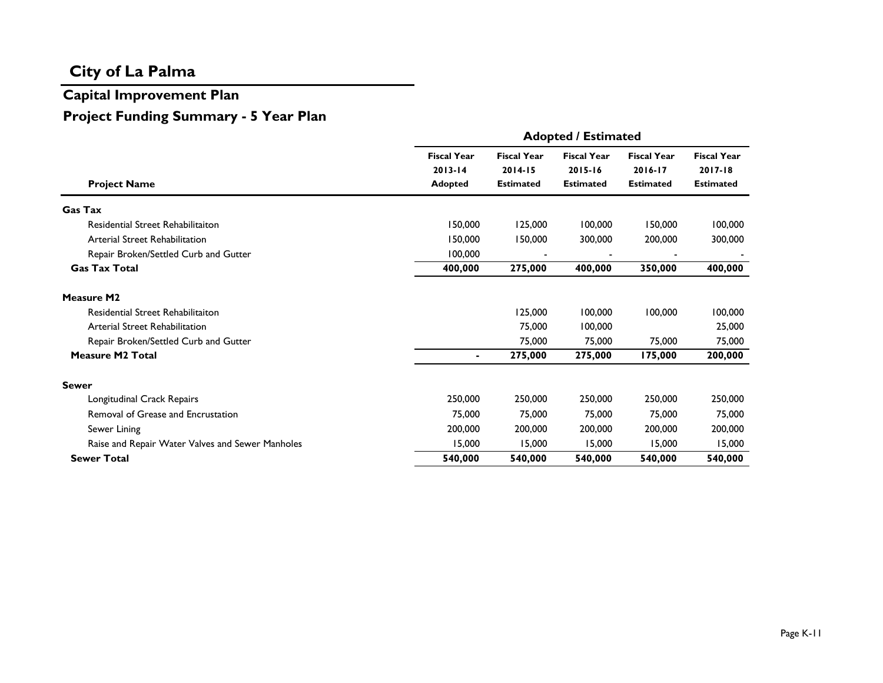# **Capital Improvement Plan Project Funding Summary - 5 Year Plan**

|                                                  | <b>Adopted / Estimated</b>                          |                                                       |                                                       |                                                   |                                                       |  |  |  |  |  |  |  |
|--------------------------------------------------|-----------------------------------------------------|-------------------------------------------------------|-------------------------------------------------------|---------------------------------------------------|-------------------------------------------------------|--|--|--|--|--|--|--|
| <b>Project Name</b>                              | <b>Fiscal Year</b><br>$2013 - 14$<br><b>Adopted</b> | <b>Fiscal Year</b><br>$2014 - 15$<br><b>Estimated</b> | <b>Fiscal Year</b><br>$2015 - 16$<br><b>Estimated</b> | <b>Fiscal Year</b><br>2016-17<br><b>Estimated</b> | <b>Fiscal Year</b><br>$2017 - 18$<br><b>Estimated</b> |  |  |  |  |  |  |  |
| <b>Gas Tax</b>                                   |                                                     |                                                       |                                                       |                                                   |                                                       |  |  |  |  |  |  |  |
| Residential Street Rehabilitaiton                | 150,000                                             | 125,000                                               | 100,000                                               | 150,000                                           | 100,000                                               |  |  |  |  |  |  |  |
| <b>Arterial Street Rehabilitation</b>            | 150,000                                             | 150,000                                               | 300,000                                               | 200,000                                           | 300,000                                               |  |  |  |  |  |  |  |
| Repair Broken/Settled Curb and Gutter            | 100,000                                             |                                                       |                                                       |                                                   |                                                       |  |  |  |  |  |  |  |
| <b>Gas Tax Total</b>                             | 400,000                                             | 275,000                                               | 400,000                                               | 350,000                                           | 400,000                                               |  |  |  |  |  |  |  |
| <b>Measure M2</b>                                |                                                     |                                                       |                                                       |                                                   |                                                       |  |  |  |  |  |  |  |
| <b>Residential Street Rehabilitaiton</b>         |                                                     | 125,000                                               | 100,000                                               | 100,000                                           | 100,000                                               |  |  |  |  |  |  |  |
| Arterial Street Rehabilitation                   |                                                     | 75,000                                                | 100,000                                               |                                                   | 25,000                                                |  |  |  |  |  |  |  |
| Repair Broken/Settled Curb and Gutter            |                                                     | 75,000                                                | 75,000                                                | 75,000                                            | 75,000                                                |  |  |  |  |  |  |  |
| <b>Measure M2 Total</b>                          | $\blacksquare$                                      | 275,000                                               | 275,000                                               | 175,000                                           | 200,000                                               |  |  |  |  |  |  |  |
| <b>Sewer</b>                                     |                                                     |                                                       |                                                       |                                                   |                                                       |  |  |  |  |  |  |  |
| Longitudinal Crack Repairs                       | 250,000                                             | 250,000                                               | 250,000                                               | 250,000                                           | 250,000                                               |  |  |  |  |  |  |  |
| Removal of Grease and Encrustation               | 75,000                                              | 75,000                                                | 75,000                                                | 75,000                                            | 75,000                                                |  |  |  |  |  |  |  |
| Sewer Lining                                     | 200,000                                             | 200,000                                               | 200,000                                               | 200,000                                           | 200,000                                               |  |  |  |  |  |  |  |
| Raise and Repair Water Valves and Sewer Manholes | 15,000                                              | 15,000                                                | 15,000                                                | 15,000                                            | 15,000                                                |  |  |  |  |  |  |  |
| <b>Sewer Total</b>                               | 540,000                                             | 540,000                                               | 540,000                                               | 540,000                                           | 540,000                                               |  |  |  |  |  |  |  |